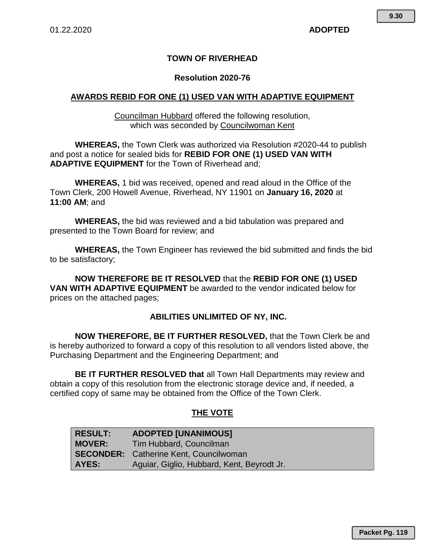#### **TOWN OF RIVERHEAD**

#### **Resolution 2020-76**

#### **AWARDS REBID FOR ONE (1) USED VAN WITH ADAPTIVE EQUIPMENT**

Councilman Hubbard offered the following resolution, which was seconded by Councilwoman Kent

**WHEREAS,** the Town Clerk was authorized via Resolution #2020-44 to publish and post a notice for sealed bids for **REBID FOR ONE (1) USED VAN WITH ADAPTIVE EQUIPMENT** for the Town of Riverhead and;

**WHEREAS,** 1 bid was received, opened and read aloud in the Office of the Town Clerk, 200 Howell Avenue, Riverhead, NY 11901 on **January 16, 2020** at **11:00 AM**; and

**WHEREAS,** the bid was reviewed and a bid tabulation was prepared and presented to the Town Board for review; and

**WHEREAS,** the Town Engineer has reviewed the bid submitted and finds the bid to be satisfactory;

**NOW THEREFORE BE IT RESOLVED** that the **REBID FOR ONE (1) USED VAN WITH ADAPTIVE EQUIPMENT** be awarded to the vendor indicated below for prices on the attached pages;

#### **ABILITIES UNLIMITED OF NY, INC.**

**NOW THEREFORE, BE IT FURTHER RESOLVED,** that the Town Clerk be and is hereby authorized to forward a copy of this resolution to all vendors listed above, the Purchasing Department and the Engineering Department; and

**BE IT FURTHER RESOLVED that** all Town Hall Departments may review and obtain a copy of this resolution from the electronic storage device and, if needed, a certified copy of same may be obtained from the Office of the Town Clerk.

#### **THE VOTE**

| <b>RESULT:</b> | <b>ADOPTED [UNANIMOUS]</b>                    |
|----------------|-----------------------------------------------|
| <b>MOVER:</b>  | Tim Hubbard, Councilman                       |
|                | <b>SECONDER:</b> Catherine Kent, Councilwoman |
| AYES:          | Aguiar, Giglio, Hubbard, Kent, Beyrodt Jr.    |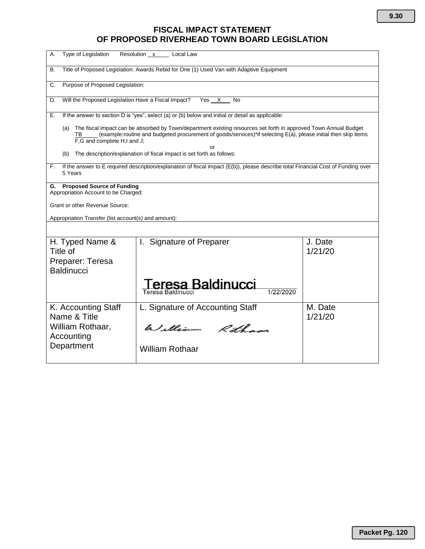## **FISCAL IMPACT STATEMENT OF PROPOSED RIVERHEAD TOWN BOARD LEGISLATION**

| Type of Legislation<br>А.                                                                                                                                                                                                                                                       | Resolution x<br>Local Law                                                                         |                    |  |  |  |  |
|---------------------------------------------------------------------------------------------------------------------------------------------------------------------------------------------------------------------------------------------------------------------------------|---------------------------------------------------------------------------------------------------|--------------------|--|--|--|--|
| Title of Proposed Legislation: Awards Rebid for One (1) Used Van with Adaptive Equipment<br>В.                                                                                                                                                                                  |                                                                                                   |                    |  |  |  |  |
| Purpose of Proposed Legislation:<br>C.                                                                                                                                                                                                                                          |                                                                                                   |                    |  |  |  |  |
| Will the Proposed Legislation Have a Fiscal Impact?<br>D.                                                                                                                                                                                                                       | Yes X<br><b>No</b>                                                                                |                    |  |  |  |  |
| Е.                                                                                                                                                                                                                                                                              | If the answer to section D is "yes", select (a) or (b) below and initial or detail as applicable: |                    |  |  |  |  |
| The fiscal impact can be absorbed by Town/department existing resources set forth in approved Town Annual Budget<br>(a)<br>(example:routine and budgeted procurement of goods/services)*if selecting E(a), please initial then skip items<br>TB.<br>F.G and complete H.I and J. |                                                                                                   |                    |  |  |  |  |
| or<br>The description/explanation of fiscal impact is set forth as follows:<br>(b)                                                                                                                                                                                              |                                                                                                   |                    |  |  |  |  |
| If the answer to E required description/explanation of fiscal impact (E(b)), please describe total Financial Cost of Funding over<br>F.<br>5 Years                                                                                                                              |                                                                                                   |                    |  |  |  |  |
| G.                                                                                                                                                                                                                                                                              | <b>Proposed Source of Funding</b><br>Appropriation Account to be Charged:                         |                    |  |  |  |  |
| Grant or other Revenue Source:                                                                                                                                                                                                                                                  |                                                                                                   |                    |  |  |  |  |
| Appropriation Transfer (list account(s) and amount):                                                                                                                                                                                                                            |                                                                                                   |                    |  |  |  |  |
|                                                                                                                                                                                                                                                                                 |                                                                                                   |                    |  |  |  |  |
| H. Typed Name &<br>Title of<br>Preparer: Teresa                                                                                                                                                                                                                                 | I. Signature of Preparer                                                                          | J. Date<br>1/21/20 |  |  |  |  |
| <b>Baldinucci</b>                                                                                                                                                                                                                                                               |                                                                                                   |                    |  |  |  |  |
|                                                                                                                                                                                                                                                                                 | eresa Baldinucci<br>1/22/2020<br>Teresa Baldinucci                                                |                    |  |  |  |  |
| K. Accounting Staff<br>Name & Title                                                                                                                                                                                                                                             | L. Signature of Accounting Staff                                                                  | M. Date<br>1/21/20 |  |  |  |  |
| William Rothaar,<br>Accounting                                                                                                                                                                                                                                                  | William Rotham                                                                                    |                    |  |  |  |  |
| Department                                                                                                                                                                                                                                                                      | <b>William Rothaar</b>                                                                            |                    |  |  |  |  |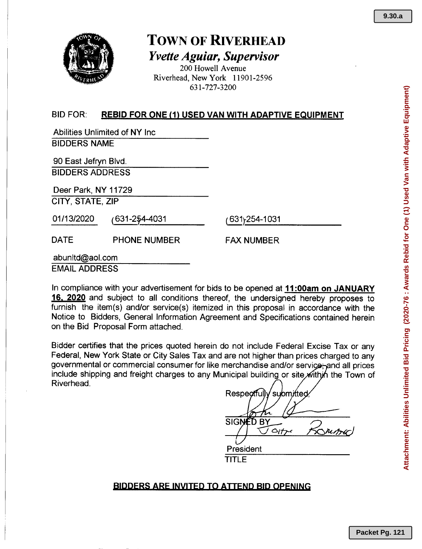

# TOWN OF RIvERHEAD *Yvette Aguiar, Supervisor*

200 Howell Avenue Riverhead, New York 11901-2596 631-727-3200

## BID FOR: REBID FOR ONE (1) USED VAN WITH ADAPTIVE EQUIPMENT

Abilities Unlimited of NY Inc BIDDERS NAME

90 East Jefryn Blvd. BIDDERSADDRESS

Deer Park, NY 11729 CITY, STATE, ZIP

01/13/2020 (631-2~\_4-4\_0\_3\_1 \_

(631):254-1031

PHONE NUMBER DATE FAX NUMBER

abunltd@aol.com

EMAILADDRESS

In compliance with your advertisement for bids to be opened at 11:00am on JANUARY 16. 2020 and subject to all conditions thereof, the undersigned hereby proposes to furnish the item(s) and/or service(s) itemized in this proposal in accordance with the Notice to Bidders, General Information Agreement and Specifications contained herein on the Bid Proposal Form attached.

Bidder certifies that the prices quoted herein do not include Federal Excise Tax or any Federal, New York State or City Sales Tax and are not higher than prices charged to any governmental or commercial consumer for like merchandise and/or service; and all prices include shipping and freight charges to any Municipal building or site within the Town of Riverhead.

Respectful submitted **SIGN** D BY  $O(t^2)$ President TITLE

## BIDDERS ARE INVITED TO ATTEND BID OPENING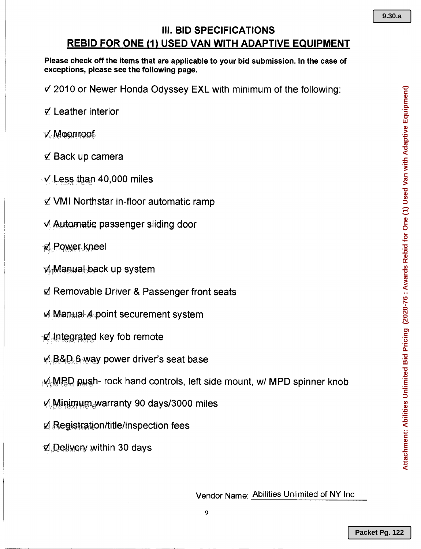# **III. BID SPECIFICATIONS REBID FOR ONE (1) USED VAN WITH ADAPTIVE EQUIPMENT**

Please check off the items that are applicable to your bid submission. In the case of exceptions, please see the following page.

 $\Delta$  2010 or Newer Honda Odyssey EXL with minimum of the following:

- $\Delta$  Leather interior
- **Z Moonroof**
- $\triangle$  Back up camera
- $\vee$  Less than 40,000 miles
- $\triangle$  **VMI Northstar in-floor automatic ramp**
- **E.** Automatic passenger sliding door
- **Z** Power kneel
- **Manual-back up system**
- **Ø Removable Driver & Passenger front seats**
- **Manual 4 point securement system**
- Mintegrated key fob remote
- $\mathbb{Z}/B\&D$ , 6 way power driver's seat base
- $\neg$ Ø<sub>r</sub>MPD push- rock hand controls, left side mount, w/ MPD spinner knob
- $\mathbb{Z}$  Minimum warranty 90 days/3000 miles
- $\nabla$  Registration/title/inspection fees
- **Z** Delivery within 30 days

Vendor Name: Abilities Unlimited of NY Inc

**9.30.a**

9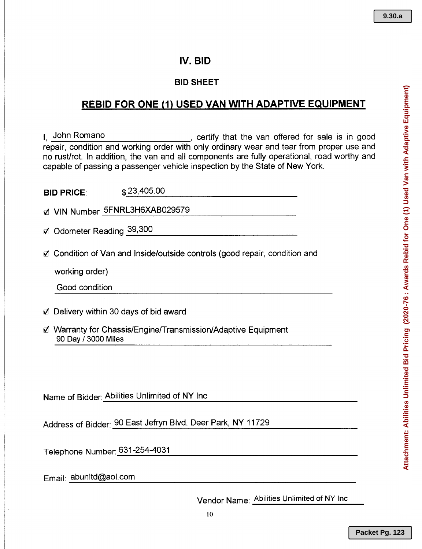## **IV. BID**

#### **BID SHEET**

# **REBID FOR ONE (1) USED VAN WITH ADAPTIVE EQUIPMENT**

I, John Romano , certify that the van offered for sale is in good repair, condition and working order with only ordinary wear and tear from proper use and no rust/rot. In addition, the van and all components are fully operational, road worthy and capable of passing a passenger vehicle inspection by the State of New York.

| <b>BID PRICE:</b> | \$23,405.00 |
|-------------------|-------------|
|                   |             |

Z VIN Number 5FNRL3H6XAB029579

 $\boxtimes$  Odometer Reading 39,300

**Ø** Condition of Van and Inside/outside controls (good repair, condition and

working order)

Good condition

- &71 Delivery within 30 days of bid award
- &71 Warranty for Chassis/EnginelTransmission/Adaptive Equipment 90 Day *13000* Miles

Name of Bidder: Abilities Unlimited of NY Inc

Address of Bidder: 90 East Jefryn Blvd. Deer Park, NY 11729

Telephone Number: 631-254-4031

Email: abunltd@aol.com

Vendor Name: Abilities Unlimited of NY Inc